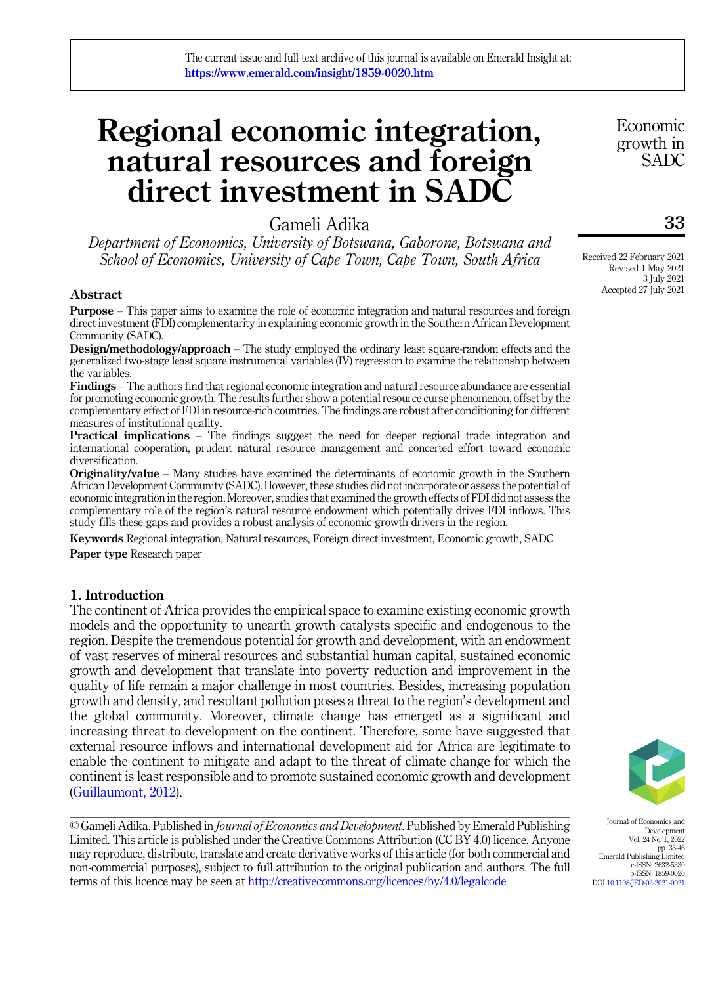# Regional economic integration, natural resources and foreign direct investment in SADC

Gameli Adika

Department of Economics, University of Botswana, Gaborone, Botswana and School of Economics, University of Cape Town, Cape Town, South Africa

## Abstract

Purpose – This paper aims to examine the role of economic integration and natural resources and foreign direct investment (FDI) complementarity in explaining economic growth in the Southern African Development Community (SADC).

Design/methodology/approach – The study employed the ordinary least square-random effects and the generalized two-stage least square instrumental variables (IV) regression to examine the relationship between the variables.

Findings – The authors find that regional economic integration and natural resource abundance are essential for promoting economic growth. The results further show a potential resource curse phenomenon, offset by the complementary effect of FDI in resource-rich countries. The findings are robust after conditioning for different measures of institutional quality.

Practical implications – The findings suggest the need for deeper regional trade integration and international cooperation, prudent natural resource management and concerted effort toward economic diversification.

**Originality/value** – Many studies have examined the determinants of economic growth in the Southern African Development Community (SADC). However, these studies did not incorporate or assess the potential of economic integration in the region. Moreover, studies that examined the growth effects of FDI did not assess the complementary role of the region's natural resource endowment which potentially drives FDI inflows. This study fills these gaps and provides a robust analysis of economic growth drivers in the region.

Keywords Regional integration, Natural resources, Foreign direct investment, Economic growth, SADC Paper type Research paper

## 1. Introduction

The continent of Africa provides the empirical space to examine existing economic growth models and the opportunity to unearth growth catalysts specific and endogenous to the region. Despite the tremendous potential for growth and development, with an endowment of vast reserves of mineral resources and substantial human capital, sustained economic growth and development that translate into poverty reduction and improvement in the quality of life remain a major challenge in most countries. Besides, increasing population growth and density, and resultant pollution poses a threat to the region's development and the global community. Moreover, climate change has emerged as a significant and increasing threat to development on the continent. Therefore, some have suggested that external resource inflows and international development aid for Africa are legitimate to enable the continent to mitigate and adapt to the threat of climate change for which the continent is least responsible and to promote sustained economic growth and development ([Guillaumont, 2012\)](#page-12-0).

© Gameli Adika. Published in *Journal of Economics and Development*. Published by Emerald Publishing Limited. This article is published under the Creative Commons Attribution (CC BY 4.0) licence. Anyone may reproduce, distribute, translate and create derivative works of this article (for both commercial and non-commercial purposes), subject to full attribution to the original publication and authors. The full terms of this licence may be seen at <http://creativecommons.org/licences/by/4.0/legalcode>

Journal of Economics and Development Vol. 24 No. 1, 2022 pp. 33-46 Emerald Publishing Limited e-ISSN: 2632-5330 p-ISSN: 1859-0020 DOI [10.1108/JED-02-2021-0021](https://doi.org/10.1108/JED-02-2021-0021)

Received 22 February 2021 Revised 1 May 2021 3 July 2021 Accepted 27 July 2021

33

Economic growth in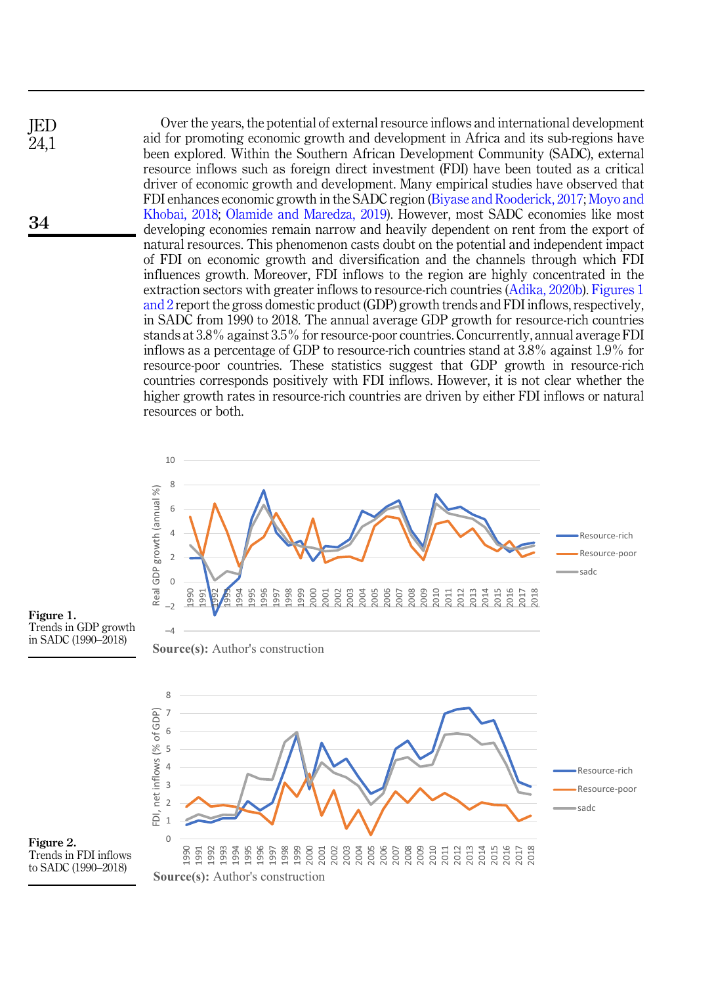<span id="page-1-0"></span>



Figure 1. Trends in GDP growth in SADC (1990–2018)

7 8



Figure 2. Trends in FDI inflows to SADC (1990–2018)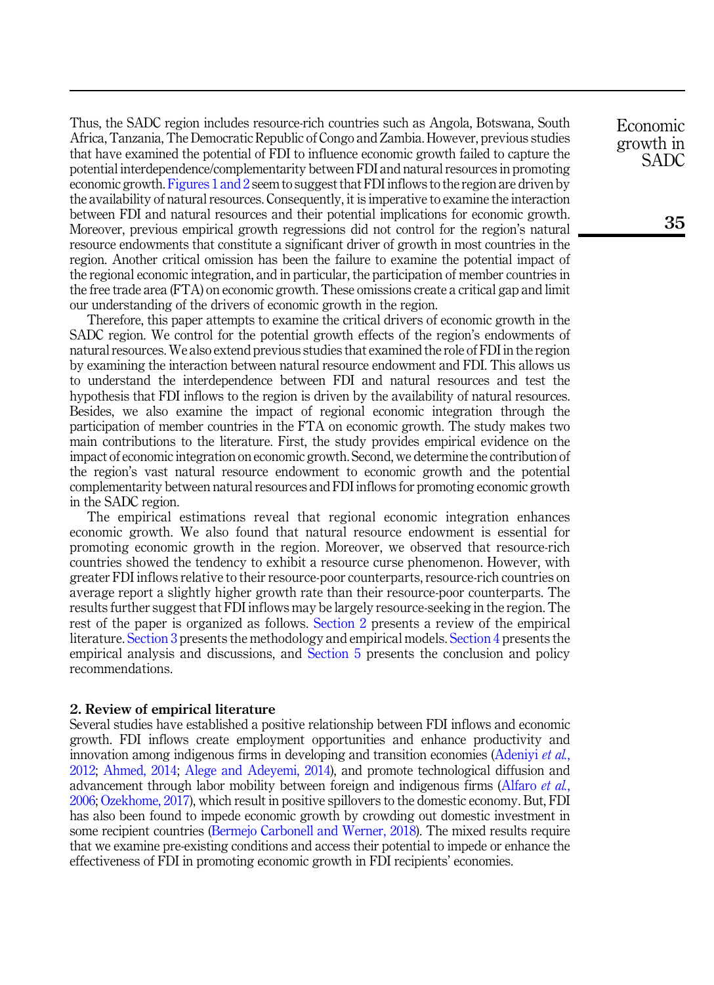Thus, the SADC region includes resource-rich countries such as Angola, Botswana, South Africa, Tanzania, The Democratic Republic of Congo and Zambia. However, previous studies that have examined the potential of FDI to influence economic growth failed to capture the potential interdependence/complementarity between FDI and natural resources in promoting economic growth. [Figures 1 and 2](#page-1-0) seem to suggest that FDI inflows to the region are driven by the availability of natural resources. Consequently, it is imperative to examine the interaction between FDI and natural resources and their potential implications for economic growth. Moreover, previous empirical growth regressions did not control for the region's natural resource endowments that constitute a significant driver of growth in most countries in the region. Another critical omission has been the failure to examine the potential impact of the regional economic integration, and in particular, the participation of member countries in the free trade area (FTA) on economic growth. These omissions create a critical gap and limit our understanding of the drivers of economic growth in the region.

Therefore, this paper attempts to examine the critical drivers of economic growth in the SADC region. We control for the potential growth effects of the region's endowments of natural resources. We also extend previous studies that examined the role of FDI in the region by examining the interaction between natural resource endowment and FDI. This allows us to understand the interdependence between FDI and natural resources and test the hypothesis that FDI inflows to the region is driven by the availability of natural resources. Besides, we also examine the impact of regional economic integration through the participation of member countries in the FTA on economic growth. The study makes two main contributions to the literature. First, the study provides empirical evidence on the impact of economic integration on economic growth. Second, we determine the contribution of the region's vast natural resource endowment to economic growth and the potential complementarity between natural resources and FDI inflows for promoting economic growth in the SADC region.

The empirical estimations reveal that regional economic integration enhances economic growth. We also found that natural resource endowment is essential for promoting economic growth in the region. Moreover, we observed that resource-rich countries showed the tendency to exhibit a resource curse phenomenon. However, with greater FDI inflows relative to their resource-poor counterparts, resource-rich countries on average report a slightly higher growth rate than their resource-poor counterparts. The results further suggest that FDI inflows may be largely resource-seeking in the region. The rest of the paper is organized as follows. [Section 2](#page-2-0) presents a review of the empirical literature. [Section 3](#page-4-0) presents the methodology and empirical models. [Section 4](#page-5-0) presents the empirical analysis and discussions, and [Section 5](#page-9-0) presents the conclusion and policy recommendations.

#### <span id="page-2-0"></span>2. Review of empirical literature

Several studies have established a positive relationship between FDI inflows and economic growth. FDI inflows create employment opportunities and enhance productivity and innovation among indigenous firms in developing and transition economies ([Adeniyi](#page-11-2) et al., [2012;](#page-11-2) [Ahmed, 2014](#page-11-3); [Alege and Adeyemi, 2014](#page-11-4)), and promote technological diffusion and advancement through labor mobility between foreign and indigenous firms [\(Alfaro](#page-11-5) et al., [2006;](#page-11-5) [Ozekhome, 2017](#page-12-3)), which result in positive spillovers to the domestic economy. But, FDI has also been found to impede economic growth by crowding out domestic investment in some recipient countries [\(Bermejo Carbonell and Werner, 2018](#page-11-6)). The mixed results require that we examine pre-existing conditions and access their potential to impede or enhance the effectiveness of FDI in promoting economic growth in FDI recipients' economies.

Economic growth in SADC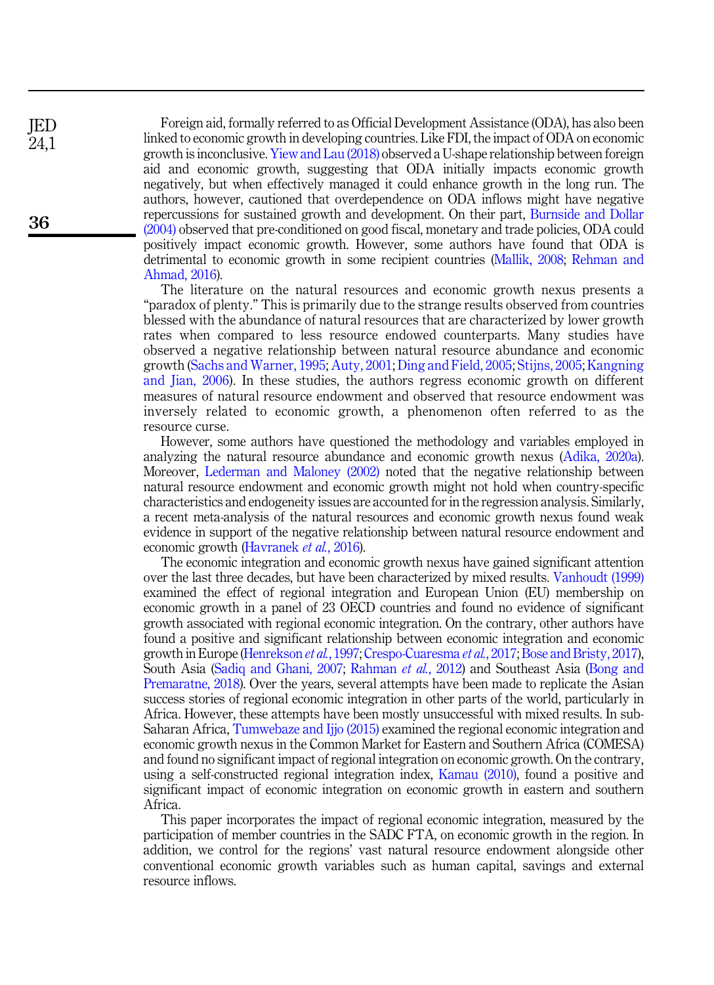Foreign aid, formally referred to as Official Development Assistance (ODA), has also been linked to economic growth in developing countries. Like FDI, the impact of ODA on economic growth is inconclusive. [Yiew and Lau \(2018\)](#page-13-0) observed a U-shape relationship between foreign aid and economic growth, suggesting that ODA initially impacts economic growth negatively, but when effectively managed it could enhance growth in the long run. The authors, however, cautioned that overdependence on ODA inflows might have negative repercussions for sustained growth and development. On their part, [Burnside and Dollar](#page-11-7) [\(2004\)](#page-11-7) observed that pre-conditioned on good fiscal, monetary and trade policies, ODA could positively impact economic growth. However, some authors have found that ODA is detrimental to economic growth in some recipient countries ([Mallik, 2008](#page-12-4); [Rehman and](#page-12-5) [Ahmad, 2016\)](#page-12-5).

The literature on the natural resources and economic growth nexus presents a "paradox of plenty." This is primarily due to the strange results observed from countries blessed with the abundance of natural resources that are characterized by lower growth rates when compared to less resource endowed counterparts. Many studies have observed a negative relationship between natural resource abundance and economic growth ([Sachs and Warner, 1995](#page-12-6); [Auty, 2001](#page-11-8); [Ding and Field, 2005](#page-11-9); [Stijns, 2005](#page-13-1); [Kangning](#page-12-7) [and Jian, 2006](#page-12-7)). In these studies, the authors regress economic growth on different measures of natural resource endowment and observed that resource endowment was inversely related to economic growth, a phenomenon often referred to as the resource curse.

However, some authors have questioned the methodology and variables employed in analyzing the natural resource abundance and economic growth nexus [\(Adika, 2020a\)](#page-11-10). Moreover, [Lederman and Maloney \(2002\)](#page-12-8) noted that the negative relationship between natural resource endowment and economic growth might not hold when country-specific characteristics and endogeneity issues are accounted for in the regression analysis. Similarly, a recent meta-analysis of the natural resources and economic growth nexus found weak evidence in support of the negative relationship between natural resource endowment and economic growth [\(Havranek](#page-12-9) et al., 2016).

The economic integration and economic growth nexus have gained significant attention over the last three decades, but have been characterized by mixed results. [Vanhoudt \(1999\)](#page-13-2) examined the effect of regional integration and European Union (EU) membership on economic growth in a panel of 23 OECD countries and found no evidence of significant growth associated with regional economic integration. On the contrary, other authors have found a positive and significant relationship between economic integration and economic growth in Europe ([Henrekson](#page-12-10) et al., 1997; [Crespo-Cuaresma](#page-11-11) et al., 2017; [Bose and Bristy, 2017\)](#page-11-12), South Asia [\(Sadiq and Ghani, 2007](#page-12-11); [Rahman](#page-12-12) et al., 2012) and Southeast Asia [\(Bong and](#page-11-13) [Premaratne, 2018\)](#page-11-13). Over the years, several attempts have been made to replicate the Asian success stories of regional economic integration in other parts of the world, particularly in Africa. However, these attempts have been mostly unsuccessful with mixed results. In sub-Saharan Africa, [Tumwebaze and Ijjo \(2015\)](#page-13-3) examined the regional economic integration and economic growth nexus in the Common Market for Eastern and Southern Africa (COMESA) and found no significant impact of regional integration on economic growth. On the contrary, using a self-constructed regional integration index, [Kamau \(2010\),](#page-12-13) found a positive and significant impact of economic integration on economic growth in eastern and southern Africa.

This paper incorporates the impact of regional economic integration, measured by the participation of member countries in the SADC FTA, on economic growth in the region. In addition, we control for the regions' vast natural resource endowment alongside other conventional economic growth variables such as human capital, savings and external resource inflows.

JED 24,1

36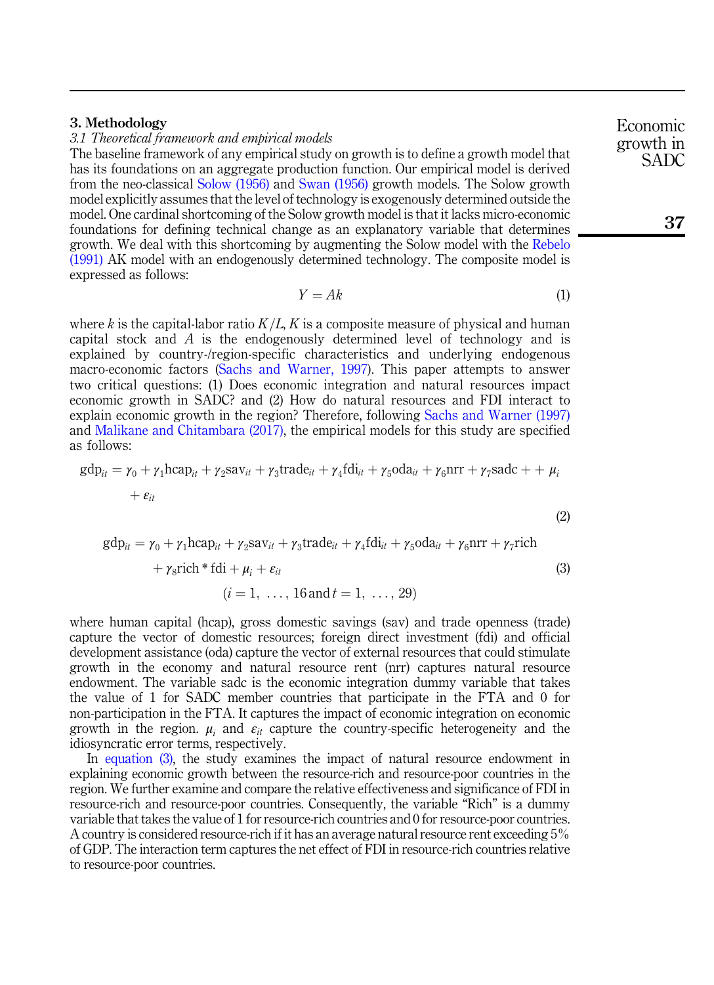# <span id="page-4-0"></span>3. Methodology

3.1 Theoretical framework and empirical models

The baseline framework of any empirical study on growth is to define a growth model that has its foundations on an aggregate production function. Our empirical model is derived from the neo-classical [Solow \(1956\)](#page-12-14) and [Swan \(1956\)](#page-13-4) growth models. The Solow growth model explicitly assumes that the level of technology is exogenously determined outside the model. One cardinal shortcoming of the Solow growth model is that it lacks micro-economic foundations for defining technical change as an explanatory variable that determines growth. We deal with this shortcoming by augmenting the Solow model with the [Rebelo](#page-12-15) [\(1991\)](#page-12-15) AK model with an endogenously determined technology. The composite model is expressed as follows:

$$
Y = Ak \tag{1}
$$

<span id="page-4-3"></span>where k is the capital-labor ratio  $K/L$ , K is a composite measure of physical and human capital stock and  $\hat{A}$  is the endogenously determined level of technology and is explained by country-/region-specific characteristics and underlying endogenous macro-economic factors [\(Sachs and Warner, 1997](#page-12-16)). This paper attempts to answer two critical questions: (1) Does economic integration and natural resources impact economic growth in SADC? and (2) How do natural resources and FDI interact to explain economic growth in the region? Therefore, following [Sachs and Warner \(1997\)](#page-12-16) and [Malikane and Chitambara \(2017\),](#page-12-17) the empirical models for this study are specified as follows:

<span id="page-4-2"></span>
$$
gdp_{it} = \gamma_0 + \gamma_1 hcap_{it} + \gamma_2 sav_{it} + \gamma_3 trade_{it} + \gamma_4 fdi_{it} + \gamma_5 oda_{it} + \gamma_6 nrr + \gamma_7 sadc + \mu_i
$$
  
+  $\varepsilon_{it}$  (2)

<span id="page-4-1"></span>
$$
gdp_{it} = \gamma_0 + \gamma_1 hcap_{it} + \gamma_2 Sav_{it} + \gamma_3 trade_{it} + \gamma_4 fdi_{it} + \gamma_5 oda_{it} + \gamma_6 nrr + \gamma_7 rich
$$
  
+  $\gamma_8 rich * fdi + \mu_i + \varepsilon_{it}$  (3)  
 $(i = 1, ..., 16 and t = 1, ..., 29)$ 

where human capital (hcap), gross domestic savings (sav) and trade openness (trade) capture the vector of domestic resources; foreign direct investment (fdi) and official development assistance (oda) capture the vector of external resources that could stimulate growth in the economy and natural resource rent (nrr) captures natural resource endowment. The variable sadc is the economic integration dummy variable that takes the value of 1 for SADC member countries that participate in the FTA and 0 for non-participation in the FTA. It captures the impact of economic integration on economic growth in the region.  $\mu_i$  and  $\varepsilon_{it}$  capture the country-specific heterogeneity and the idiosyncratic error terms, respectively.

In [equation \(3\)](#page-4-1), the study examines the impact of natural resource endowment in explaining economic growth between the resource-rich and resource-poor countries in the region. We further examine and compare the relative effectiveness and significance of FDI in resource-rich and resource-poor countries. Consequently, the variable "Rich" is a dummy variable that takes the value of 1 for resource-rich countries and 0 for resource-poor countries. A country is considered resource-rich if it has an average natural resource rent exceeding 5% of GDP. The interaction term captures the net effect of FDI in resource-rich countries relative to resource-poor countries.

Economic growth in SADC

37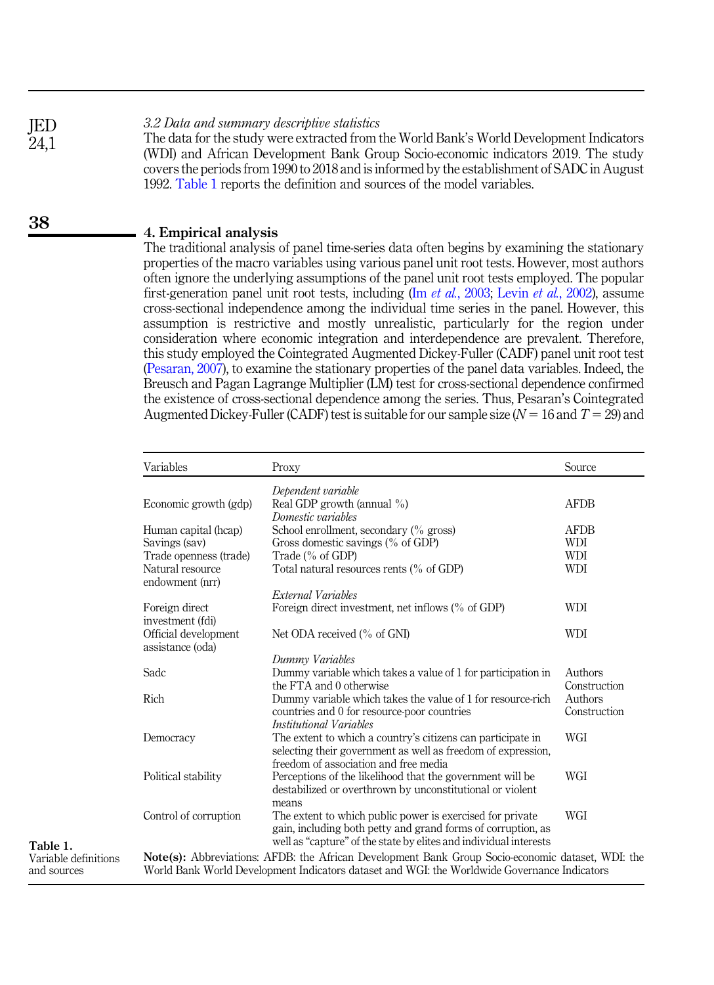3.2 Data and summary descriptive statistics JED

The data for the study were extracted from the World Bank's World Development Indicators (WDI) and African Development Bank Group Socio-economic indicators 2019. The study covers the periods from 1990 to 2018 and is informed by the establishment of SADC in August 1992. Table 1 reports the definition and sources of the model variables.

# <span id="page-5-0"></span>4. Empirical analysis

The traditional analysis of panel time-series data often begins by examining the stationary properties of the macro variables using various panel unit root tests. However, most authors often ignore the underlying assumptions of the panel unit root tests employed. The popular first-generation panel unit root tests, including (Im et al.[, 2003;](#page-12-18) Levin et al.[, 2002](#page-12-19)), assume cross-sectional independence among the individual time series in the panel. However, this assumption is restrictive and mostly unrealistic, particularly for the region under consideration where economic integration and interdependence are prevalent. Therefore, this study employed the Cointegrated Augmented Dickey-Fuller (CADF) panel unit root test ([Pesaran, 2007\)](#page-12-20), to examine the stationary properties of the panel data variables. Indeed, the Breusch and Pagan Lagrange Multiplier (LM) test for cross-sectional dependence confirmed the existence of cross-sectional dependence among the series. Thus, Pesaran's Cointegrated Augmented Dickey-Fuller (CADF) test is suitable for our sample size  $(N = 16$  and  $T = 29$ ) and

|                                     | Variables                                | Proxy                                                                                                                                                                                                    | Source                  |
|-------------------------------------|------------------------------------------|----------------------------------------------------------------------------------------------------------------------------------------------------------------------------------------------------------|-------------------------|
|                                     |                                          | Dependent variable                                                                                                                                                                                       | <b>AFDB</b>             |
|                                     | Economic growth (gdp)                    | Real GDP growth (annual $\%$ )<br>Domestic variables                                                                                                                                                     |                         |
|                                     | Human capital (hcap)                     | School enrollment, secondary (% gross)                                                                                                                                                                   | <b>AFDB</b>             |
|                                     | Savings (sav)                            | Gross domestic savings (% of GDP)                                                                                                                                                                        | WDI                     |
| Table 1.                            | Trade openness (trade)                   | Trade (% of GDP)                                                                                                                                                                                         | <b>WDI</b>              |
|                                     | Natural resource<br>endowment (nrr)      | Total natural resources rents (% of GDP)                                                                                                                                                                 | <b>WDI</b>              |
|                                     |                                          | External Variables                                                                                                                                                                                       |                         |
|                                     | Foreign direct<br>investment (fdi)       | Foreign direct investment, net inflows (% of GDP)                                                                                                                                                        | WDI                     |
|                                     | Official development<br>assistance (oda) | Net ODA received (% of GNI)                                                                                                                                                                              | <b>WDI</b>              |
|                                     |                                          | Dummy Variables                                                                                                                                                                                          |                         |
|                                     | Sadc                                     | Dummy variable which takes a value of 1 for participation in<br>the FTA and 0 otherwise                                                                                                                  | Authors<br>Construction |
|                                     | Rich                                     | Dummy variable which takes the value of 1 for resource-rich                                                                                                                                              | Authors                 |
|                                     |                                          | countries and 0 for resource-poor countries<br>Institutional Variables                                                                                                                                   | Construction            |
|                                     | Democracy                                | The extent to which a country's citizens can participate in<br>selecting their government as well as freedom of expression.                                                                              | WGI                     |
|                                     | Political stability                      | freedom of association and free media<br>Perceptions of the likelihood that the government will be<br>destabilized or overthrown by unconstitutional or violent                                          | WGI                     |
|                                     |                                          | means                                                                                                                                                                                                    |                         |
|                                     | Control of corruption                    | The extent to which public power is exercised for private<br>gain, including both petty and grand forms of corruption, as<br>well as "capture" of the state by elites and individual interests           | WGI                     |
| Variable definitions<br>and sources |                                          | <b>Note(s):</b> Abbreviations: AFDB: the African Development Bank Group Socio-economic dataset, WDI: the<br>World Bank World Development Indicators dataset and WGI: the Worldwide Governance Indicators |                         |

38

24,1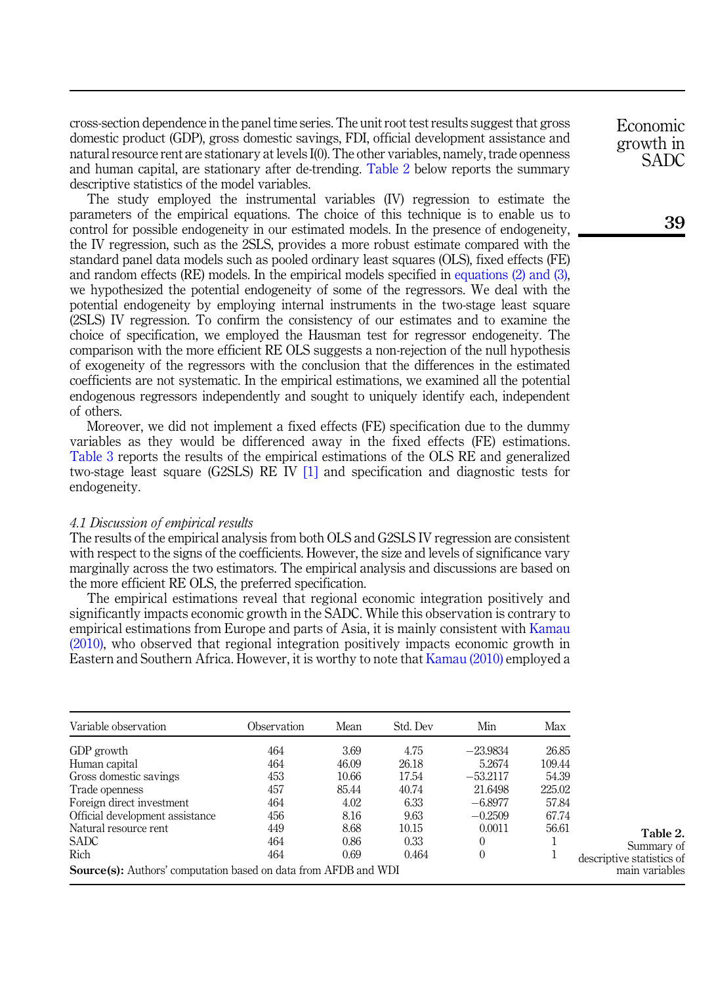cross-section dependence in the panel time series. The unit root test results suggest that gross domestic product (GDP), gross domestic savings, FDI, official development assistance and natural resource rent are stationary at levels I(0). The other variables, namely, trade openness and human capital, are stationary after de-trending. Table 2 below reports the summary descriptive statistics of the model variables.

The study employed the instrumental variables (IV) regression to estimate the parameters of the empirical equations. The choice of this technique is to enable us to control for possible endogeneity in our estimated models. In the presence of endogeneity, the IV regression, such as the 2SLS, provides a more robust estimate compared with the standard panel data models such as pooled ordinary least squares (OLS), fixed effects (FE) and random effects (RE) models. In the empirical models specified in [equations \(2\) and \(3\)](#page-4-2), we hypothesized the potential endogeneity of some of the regressors. We deal with the potential endogeneity by employing internal instruments in the two-stage least square (2SLS) IV regression. To confirm the consistency of our estimates and to examine the choice of specification, we employed the Hausman test for regressor endogeneity. The comparison with the more efficient RE OLS suggests a non-rejection of the null hypothesis of exogeneity of the regressors with the conclusion that the differences in the estimated coefficients are not systematic. In the empirical estimations, we examined all the potential endogenous regressors independently and sought to uniquely identify each, independent of others.

Moreover, we did not implement a fixed effects (FE) specification due to the dummy variables as they would be differenced away in the fixed effects (FE) estimations. [Table 3](#page-7-0) reports the results of the empirical estimations of the OLS RE and generalized two-stage least square (G2SLS) RE IV [\[1\]](#page-11-14) and specification and diagnostic tests for endogeneity.

#### 4.1 Discussion of empirical results

The results of the empirical analysis from both OLS and G2SLS IV regression are consistent with respect to the signs of the coefficients. However, the size and levels of significance vary marginally across the two estimators. The empirical analysis and discussions are based on the more efficient RE OLS, the preferred specification.

The empirical estimations reveal that regional economic integration positively and significantly impacts economic growth in the SADC. While this observation is contrary to empirical estimations from Europe and parts of Asia, it is mainly consistent with [Kamau](#page-12-13) [\(2010\)](#page-12-13), who observed that regional integration positively impacts economic growth in Eastern and Southern Africa. However, it is worthy to note that [Kamau \(2010\)](#page-12-13) employed a

| Variable observation                                                   | Observation | Mean  | Std. Dev | Min          | Max    |                           |
|------------------------------------------------------------------------|-------------|-------|----------|--------------|--------|---------------------------|
| GDP growth                                                             | 464         | 3.69  | 4.75     | $-23.9834$   | 26.85  |                           |
| Human capital                                                          | 464         | 46.09 | 26.18    | 5.2674       | 109.44 |                           |
| Gross domestic savings                                                 | 453         | 10.66 | 17.54    | $-53.2117$   | 54.39  |                           |
| Trade openness                                                         | 457         | 85.44 | 40.74    | 21.6498      | 225.02 |                           |
| Foreign direct investment                                              | 464         | 4.02  | 6.33     | $-6.8977$    | 57.84  |                           |
| Official development assistance                                        | 456         | 8.16  | 9.63     | $-0.2509$    | 67.74  |                           |
| Natural resource rent                                                  | 449         | 8.68  | 10.15    | 0.0011       | 56.61  | Table 2.                  |
| <b>SADC</b>                                                            | 464         | 0.86  | 0.33     | $\theta$     |        | Summary of                |
| Rich                                                                   | 464         | 0.69  | 0.464    | $\mathbf{0}$ |        | descriptive statistics of |
| <b>Source(s):</b> Authors' computation based on data from AFDB and WDI |             |       |          |              |        | main variables            |

Economic growth in SADC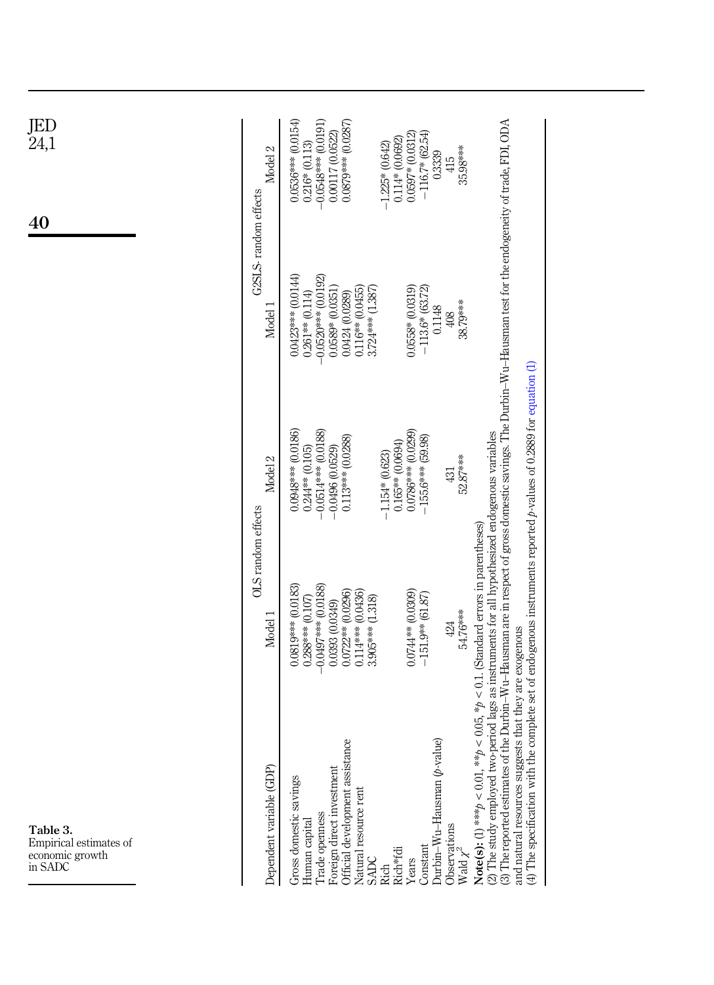<span id="page-7-0"></span>

| JED<br>24,1<br>40                                                | Model 2<br>G2SLS-random effects | $0.0536***$ $(0.0154)$<br>$-0.0548***$ (0.0191)<br>0.0879*** (0.0287)<br>0.00117 (0.0522)<br>$-116.7* (62.54)$<br>$0.0597*0.0312$<br>0.114* (0.0692)<br>$0.216* (0.113)$<br>$-1.225*$ (0.642)<br>35.98***<br>0.3339<br>415                                                                                                                                                                                                                                                                                                                                                                                                                                |
|------------------------------------------------------------------|---------------------------------|-----------------------------------------------------------------------------------------------------------------------------------------------------------------------------------------------------------------------------------------------------------------------------------------------------------------------------------------------------------------------------------------------------------------------------------------------------------------------------------------------------------------------------------------------------------------------------------------------------------------------------------------------------------|
|                                                                  | Model 1                         | 0.0423*** (0.0144)<br>$-0.0520***0.0192$<br>$0.0558* (0.0319)$<br>$-113.6*$ (63.72)<br>$0.116**$ $(0.0455)$<br>$3.724***$ (1.387)<br>0.0589* (0.0351)<br>$0.261**0.114$<br>0.0424 (0.0289)<br>38.79***<br>0.1148<br>408                                                                                                                                                                                                                                                                                                                                                                                                                                   |
|                                                                  | Model <sub>2</sub>              | $-0.0514***$ (0.0188)<br>0.0948*** (0.0186)<br>0.0786*** (0.0299)<br>0.113*** (0.0288)<br>$-155.6***$ (59.98)<br>$0.165**$ $(0.0694)$<br>$-0.0496(0.0529)$<br>$0.244**$ (0.105)<br>$-1.154*$ (0.623)<br>52.87***<br>431                                                                                                                                                                                                                                                                                                                                                                                                                                   |
|                                                                  | OLS random effects<br>Model 1   | the Durbin–Wu-Hausman are in respect of gross domestic savings. The Durbin–Wu-Hausman test for the endogeneity of trade, FDI, ODA<br>$p > 0.05$ , * $p < 0.1$ . (Standard errors in parentheses)<br>$-0.0497***$ (0.0188)<br>$0.0819***0.0183$<br>0.0744** (0.0309)<br>0.0722** (0.0296)<br>0.114*** (0.0436)<br>$-151.9**$ (61.87)<br>3.905*** (1.318)<br>$0.288***0.107$<br>0.0393(0.0349)<br>54.76***<br>424                                                                                                                                                                                                                                           |
| Table 3.<br>Empirical estimates of<br>economic growth<br>in SADC | Dependent variable (GDP)        | (4) The specification with the complete set of endogenous instruments reported $\beta$ -values of 0.2889 for equation (1)<br>(2) The study employed two-period lags as instruments for all hypothesized endogenous variables<br>and natural resources suggests that they are exogenous<br>lue)<br>nce<br>Official development assistan<br>(3) The reported estimates of<br>Durbin-Wu-Hausman $(b$ -va<br>Note(s): (1) *** $p \leq 0.01$ , ** $p$<br>Foreign direct investment<br>Gross domestic savings<br>Natural resource rent<br>Trade openness<br>Human capital<br>Observations<br>Constant<br>Rich*fd<br>Wald $\chi$<br><b>SADC</b><br>Years<br>Rich |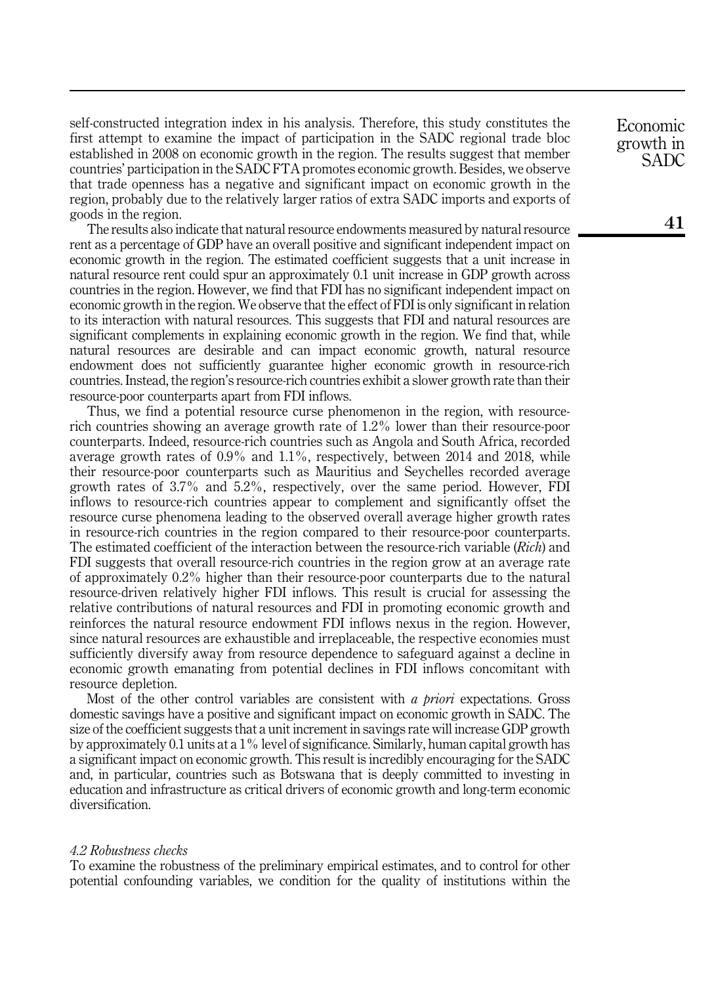self-constructed integration index in his analysis. Therefore, this study constitutes the first attempt to examine the impact of participation in the SADC regional trade bloc established in 2008 on economic growth in the region. The results suggest that member countries' participation in the SADC FTA promotes economic growth. Besides, we observe that trade openness has a negative and significant impact on economic growth in the region, probably due to the relatively larger ratios of extra SADC imports and exports of goods in the region.

The results also indicate that natural resource endowments measured by natural resource rent as a percentage of GDP have an overall positive and significant independent impact on economic growth in the region. The estimated coefficient suggests that a unit increase in natural resource rent could spur an approximately 0.1 unit increase in GDP growth across countries in the region. However, we find that FDI has no significant independent impact on economic growth in the region. We observe that the effect of FDI is only significant in relation to its interaction with natural resources. This suggests that FDI and natural resources are significant complements in explaining economic growth in the region. We find that, while natural resources are desirable and can impact economic growth, natural resource endowment does not sufficiently guarantee higher economic growth in resource-rich countries. Instead, the region's resource-rich countries exhibit a slower growth rate than their resource-poor counterparts apart from FDI inflows.

Thus, we find a potential resource curse phenomenon in the region, with resourcerich countries showing an average growth rate of 1.2% lower than their resource-poor counterparts. Indeed, resource-rich countries such as Angola and South Africa, recorded average growth rates of  $0.9\%$  and  $1.1\%$ , respectively, between 2014 and 2018, while their resource-poor counterparts such as Mauritius and Seychelles recorded average growth rates of 3.7% and 5.2%, respectively, over the same period. However, FDI inflows to resource-rich countries appear to complement and significantly offset the resource curse phenomena leading to the observed overall average higher growth rates in resource-rich countries in the region compared to their resource-poor counterparts. The estimated coefficient of the interaction between the resource-rich variable (Rich) and FDI suggests that overall resource-rich countries in the region grow at an average rate of approximately 0.2% higher than their resource-poor counterparts due to the natural resource-driven relatively higher FDI inflows. This result is crucial for assessing the relative contributions of natural resources and FDI in promoting economic growth and reinforces the natural resource endowment FDI inflows nexus in the region. However, since natural resources are exhaustible and irreplaceable, the respective economies must sufficiently diversify away from resource dependence to safeguard against a decline in economic growth emanating from potential declines in FDI inflows concomitant with resource depletion.

Most of the other control variables are consistent with a priori expectations. Gross domestic savings have a positive and significant impact on economic growth in SADC. The size of the coefficient suggests that a unit increment in savings rate will increase GDP growth by approximately 0.1 units at a 1% level of significance. Similarly, human capital growth has a significant impact on economic growth. This result is incredibly encouraging for the SADC and, in particular, countries such as Botswana that is deeply committed to investing in education and infrastructure as critical drivers of economic growth and long-term economic diversification.

#### 4.2 Robustness checks

To examine the robustness of the preliminary empirical estimates, and to control for other potential confounding variables, we condition for the quality of institutions within the Economic growth in SADC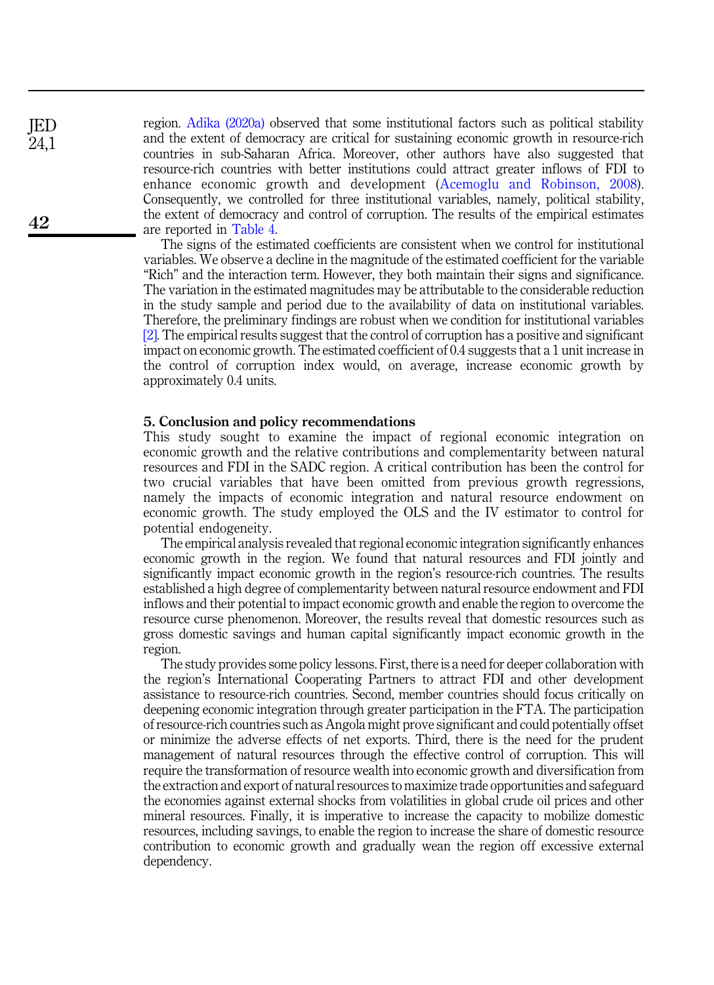region. [Adika \(2020a\)](#page-11-10) observed that some institutional factors such as political stability and the extent of democracy are critical for sustaining economic growth in resource-rich countries in sub-Saharan Africa. Moreover, other authors have also suggested that resource-rich countries with better institutions could attract greater inflows of FDI to enhance economic growth and development ([Acemoglu and Robinson, 2008](#page-11-15)). Consequently, we controlled for three institutional variables, namely, political stability, the extent of democracy and control of corruption. The results of the empirical estimates are reported in [Table 4](#page-10-0).

The signs of the estimated coefficients are consistent when we control for institutional variables. We observe a decline in the magnitude of the estimated coefficient for the variable "Rich" and the interaction term. However, they both maintain their signs and significance. The variation in the estimated magnitudes may be attributable to the considerable reduction in the study sample and period due to the availability of data on institutional variables. Therefore, the preliminary findings are robust when we condition for institutional variables [\[2\]](#page-11-16). The empirical results suggest that the control of corruption has a positive and significant impact on economic growth. The estimated coefficient of 0.4 suggests that a 1 unit increase in the control of corruption index would, on average, increase economic growth by approximately 0.4 units.

#### <span id="page-9-0"></span>5. Conclusion and policy recommendations

This study sought to examine the impact of regional economic integration on economic growth and the relative contributions and complementarity between natural resources and FDI in the SADC region. A critical contribution has been the control for two crucial variables that have been omitted from previous growth regressions, namely the impacts of economic integration and natural resource endowment on economic growth. The study employed the OLS and the IV estimator to control for potential endogeneity.

The empirical analysis revealed that regional economic integration significantly enhances economic growth in the region. We found that natural resources and FDI jointly and significantly impact economic growth in the region's resource-rich countries. The results established a high degree of complementarity between natural resource endowment and FDI inflows and their potential to impact economic growth and enable the region to overcome the resource curse phenomenon. Moreover, the results reveal that domestic resources such as gross domestic savings and human capital significantly impact economic growth in the region.

The study provides some policy lessons. First, there is a need for deeper collaboration with the region's International Cooperating Partners to attract FDI and other development assistance to resource-rich countries. Second, member countries should focus critically on deepening economic integration through greater participation in the FTA. The participation of resource-rich countries such as Angola might prove significant and could potentially offset or minimize the adverse effects of net exports. Third, there is the need for the prudent management of natural resources through the effective control of corruption. This will require the transformation of resource wealth into economic growth and diversification from the extraction and export of natural resources to maximize trade opportunities and safeguard the economies against external shocks from volatilities in global crude oil prices and other mineral resources. Finally, it is imperative to increase the capacity to mobilize domestic resources, including savings, to enable the region to increase the share of domestic resource contribution to economic growth and gradually wean the region off excessive external dependency.

JED 24,1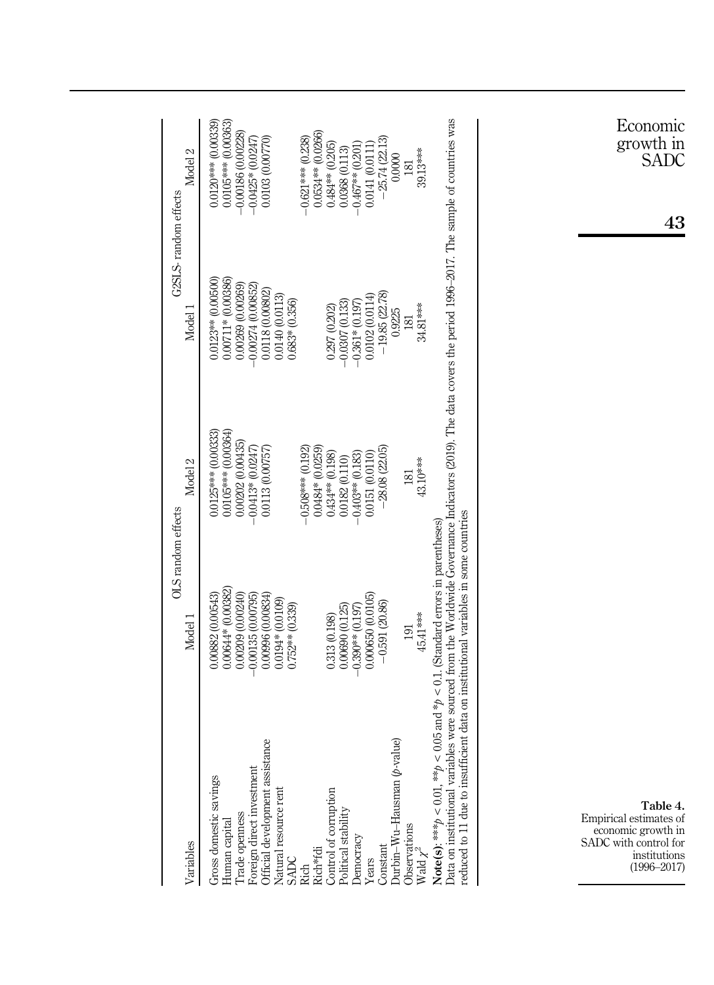<span id="page-10-0"></span>

| Variables                                                                                                                                                                                                                                                                                                                                                                                                            | OLS random effects<br>Model 1                                                                                                                                        | Model <sub>2</sub>                                                                                                                                                    | Model 1                                                                                                                                                        | Model 2<br>G2SLS-random effects                                                                                                                                            |
|----------------------------------------------------------------------------------------------------------------------------------------------------------------------------------------------------------------------------------------------------------------------------------------------------------------------------------------------------------------------------------------------------------------------|----------------------------------------------------------------------------------------------------------------------------------------------------------------------|-----------------------------------------------------------------------------------------------------------------------------------------------------------------------|----------------------------------------------------------------------------------------------------------------------------------------------------------------|----------------------------------------------------------------------------------------------------------------------------------------------------------------------------|
| Official development assistance<br>Foreign direct investment<br>Gross domestic savings<br>Natural resource rent<br>Control of corruption<br>Trade openness<br>Human capital<br>Rich*fdi<br><b>SADC</b><br><b>Rich</b>                                                                                                                                                                                                | $0.00644*0.00382$<br>0.00882 (0.00543)<br>$-0.00135(0.00795)$<br>0.00996 (0.00834)<br>0.00209 (0.00240)<br>$0.0194*(0.0109)$<br>$0.752**$ $(0.339)$<br>0.313 (0.198) | 0.0105*** (0.00364)<br>$0.0125***$ (0.00333)<br>0.00202 (0.00435)<br>0.0484* (0.0259)<br>$-0.0413*0.0247$<br>0.0113 (0.00757)<br>$-0.508***00.192$<br>0.434** (0.198) | 0.00711* (0.00386)<br>0.0123** (0.00500<br>0.00269 (0.00269)<br>$-0.00274(0.00852)$<br>0.0118 (0.00802)<br>0.0140 (0.0113)<br>$0.683*(0.356)$<br>0.297 (0.202) | 0.0120*** (0.00339)<br>0.0105*** (0.00363)<br>0.0534** (0.0266)<br>$-0.00186(0.00228)$<br>0.0103 (0.00770)<br>$-0.621***$ (0.238)<br>$-0.0425*(0.0247)$<br>0.484** (0.205) |
| Durbin-Wu-Hausman $(p$ -value)<br>Political stability<br>Observations<br>Democracy<br>Constant<br>Wald $\chi^2$<br>Years                                                                                                                                                                                                                                                                                             | 0.000650 (0.0105)<br>$-0.591(20.86)$<br>0.00690 (0.125)<br>$-0.390**0.197$<br>45.41 ***<br>191                                                                       | $-28.08(22.05)$<br>0.0151 (0.0110)<br>$-0.403**$ (0.183)<br>0.0182 (0.110)<br>43.10***<br>181                                                                         | $-19.85(22.78)$<br>0.0102 (0.0114)<br>$-0.0307(0.133)$<br>$-0.361*(0.197)$<br>34.81 ***<br>0.9225<br>181                                                       | $-25.74(22.13)$<br>$-0.467**$ (0.201)<br>0.0141 (0.0111)<br>0.0368 (0.113)<br>39.13***<br>0.0000<br>181                                                                    |
| Data on institutional variables were sourced from the Worldwide Governance Indicators (2019). The data covers the period 1996–2017. The sample of countries was<br>reduced to 11 due to insufficient data on institutional variables in some countries<br>Note(s): *** $p < 0.01$ , ** $p <$<br>Table 4.<br>Empirical estimates of<br>economic growth in<br>SADC with control for<br>institutions<br>$(1996 - 2017)$ | 0.05 and $*_p$ < 0.1. (Standard errors in parentheses)                                                                                                               |                                                                                                                                                                       |                                                                                                                                                                | Economic<br>growth in<br>SADC<br>43                                                                                                                                        |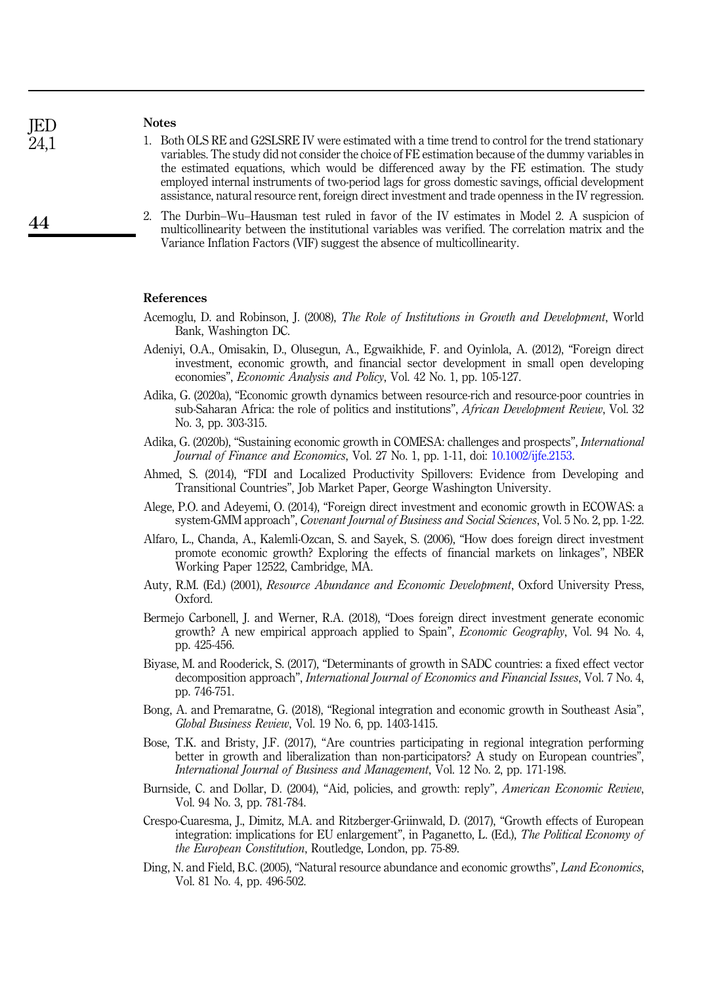**IED** 24,1

44

#### Notes

- <span id="page-11-14"></span>1. Both OLS RE and G2SLSRE IV were estimated with a time trend to control for the trend stationary variables. The study did not consider the choice of FE estimation because of the dummy variables in the estimated equations, which would be differenced away by the FE estimation. The study employed internal instruments of two-period lags for gross domestic savings, official development assistance, natural resource rent, foreign direct investment and trade openness in the IV regression.
- <span id="page-11-16"></span>2. The Durbin–Wu–Hausman test ruled in favor of the IV estimates in Model 2. A suspicion of multicollinearity between the institutional variables was verified. The correlation matrix and the Variance Inflation Factors (VIF) suggest the absence of multicollinearity.

#### <span id="page-11-15"></span>References

- Acemoglu, D. and Robinson, J. (2008), The Role of Institutions in Growth and Development, World Bank, Washington DC.
- <span id="page-11-2"></span>Adeniyi, O.A., Omisakin, D., Olusegun, A., Egwaikhide, F. and Oyinlola, A. (2012), "Foreign direct investment, economic growth, and financial sector development in small open developing economies", Economic Analysis and Policy, Vol. 42 No. 1, pp. 105-127.
- <span id="page-11-10"></span>Adika, G. (2020a), "Economic growth dynamics between resource-rich and resource-poor countries in sub-Saharan Africa: the role of politics and institutions", *African Development Review*, Vol. 32 No. 3, pp. 303-315.
- <span id="page-11-1"></span>Adika, G. (2020b), "Sustaining economic growth in COMESA: challenges and prospects", International Journal of Finance and Economics, Vol. 27 No. 1, pp. 1-11, doi: [10.1002/ijfe.2153](https://doi.org/10.1002/ijfe.2153).
- <span id="page-11-3"></span>Ahmed, S. (2014), "FDI and Localized Productivity Spillovers: Evidence from Developing and Transitional Countries", Job Market Paper, George Washington University.
- <span id="page-11-4"></span>Alege, P.O. and Adeyemi, O. (2014), "Foreign direct investment and economic growth in ECOWAS: a system-GMM approach", *Covenant Journal of Business and Social Sciences*, Vol. 5 No. 2, pp. 1-22.
- <span id="page-11-5"></span>Alfaro, L., Chanda, A., Kalemli-Ozcan, S. and Sayek, S. (2006), "How does foreign direct investment promote economic growth? Exploring the effects of financial markets on linkages", NBER Working Paper 12522, Cambridge, MA.
- <span id="page-11-8"></span>Auty, R.M. (Ed.) (2001), Resource Abundance and Economic Development, Oxford University Press, Oxford.
- <span id="page-11-6"></span>Bermejo Carbonell, J. and Werner, R.A. (2018), "Does foreign direct investment generate economic growth? A new empirical approach applied to Spain", Economic Geography, Vol. 94 No. 4, pp. 425-456.
- <span id="page-11-0"></span>Biyase, M. and Rooderick, S. (2017), "Determinants of growth in SADC countries: a fixed effect vector decomposition approach", International Journal of Economics and Financial Issues, Vol. 7 No. 4, pp. 746-751.
- <span id="page-11-13"></span>Bong, A. and Premaratne, G. (2018), "Regional integration and economic growth in Southeast Asia", Global Business Review, Vol. 19 No. 6, pp. 1403-1415.
- <span id="page-11-12"></span>Bose, T.K. and Bristy, J.F. (2017), "Are countries participating in regional integration performing better in growth and liberalization than non-participators? A study on European countries", International Journal of Business and Management, Vol. 12 No. 2, pp. 171-198.
- <span id="page-11-7"></span>Burnside, C. and Dollar, D. (2004), "Aid, policies, and growth: reply", American Economic Review, Vol. 94 No. 3, pp. 781-784.
- <span id="page-11-11"></span>Crespo-Cuaresma, J., Dimitz, M.A. and Ritzberger-Griinwald, D. (2017), "Growth effects of European integration: implications for EU enlargement", in Paganetto, L. (Ed.), The Political Economy of the European Constitution, Routledge, London, pp. 75-89.
- <span id="page-11-9"></span>Ding, N. and Field, B.C. (2005), "Natural resource abundance and economic growths", Land Economics, Vol. 81 No. 4, pp. 496-502.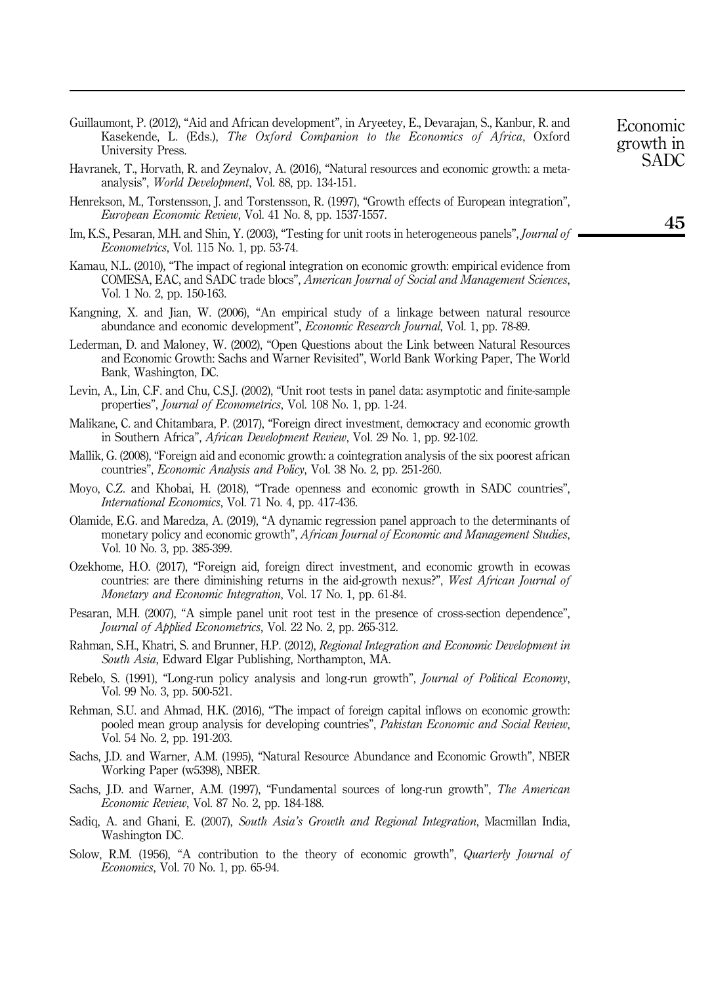- <span id="page-12-0"></span>Guillaumont, P. (2012), "Aid and African development", in Aryeetey, E., Devarajan, S., Kanbur, R. and Kasekende, L. (Eds.), The Oxford Companion to the Economics of Africa, Oxford University Press.
- <span id="page-12-9"></span>Havranek, T., Horvath, R. and Zeynalov, A. (2016), "Natural resources and economic growth: a metaanalysis", World Development, Vol. 88, pp. 134-151.
- <span id="page-12-10"></span>Henrekson, M., Torstensson, J. and Torstensson, R. (1997), "Growth effects of European integration", European Economic Review, Vol. 41 No. 8, pp. 1537-1557.
- <span id="page-12-18"></span>Im, K.S., Pesaran, M.H. and Shin, Y. (2003), "Testing for unit roots in heterogeneous panels", *Journal of* Econometrics, Vol. 115 No. 1, pp. 53-74.
- <span id="page-12-13"></span>Kamau, N.L. (2010), "The impact of regional integration on economic growth: empirical evidence from COMESA, EAC, and SADC trade blocs", American Journal of Social and Management Sciences, Vol. 1 No. 2, pp. 150-163.
- <span id="page-12-7"></span>Kangning, X. and Jian, W. (2006), "An empirical study of a linkage between natural resource abundance and economic development", Economic Research Journal, Vol. 1, pp. 78-89.
- <span id="page-12-8"></span>Lederman, D. and Maloney, W. (2002), "Open Questions about the Link between Natural Resources and Economic Growth: Sachs and Warner Revisited", World Bank Working Paper, The World Bank, Washington, DC.
- <span id="page-12-19"></span>Levin, A., Lin, C.F. and Chu, C.S.J. (2002), "Unit root tests in panel data: asymptotic and finite-sample properties", Journal of Econometrics, Vol. 108 No. 1, pp. 1-24.
- <span id="page-12-17"></span>Malikane, C. and Chitambara, P. (2017), "Foreign direct investment, democracy and economic growth in Southern Africa", African Development Review, Vol. 29 No. 1, pp. 92-102.
- <span id="page-12-4"></span>Mallik, G. (2008), "Foreign aid and economic growth: a cointegration analysis of the six poorest african countries", Economic Analysis and Policy, Vol. 38 No. 2, pp. 251-260.
- <span id="page-12-1"></span>Moyo, C.Z. and Khobai, H. (2018), "Trade openness and economic growth in SADC countries", International Economics, Vol. 71 No. 4, pp. 417-436.
- <span id="page-12-2"></span>Olamide, E.G. and Maredza, A. (2019), "A dynamic regression panel approach to the determinants of monetary policy and economic growth", African Journal of Economic and Management Studies, Vol. 10 No. 3, pp. 385-399.
- <span id="page-12-3"></span>Ozekhome, H.O. (2017), "Foreign aid, foreign direct investment, and economic growth in ecowas countries: are there diminishing returns in the aid-growth nexus?", West African Journal of Monetary and Economic Integration, Vol. 17 No. 1, pp. 61-84.
- <span id="page-12-20"></span>Pesaran, M.H. (2007), "A simple panel unit root test in the presence of cross-section dependence", Journal of Applied Econometrics, Vol. 22 No. 2, pp. 265-312.
- <span id="page-12-12"></span>Rahman, S.H., Khatri, S. and Brunner, H.P. (2012), Regional Integration and Economic Development in South Asia, Edward Elgar Publishing, Northampton, MA.
- <span id="page-12-15"></span>Rebelo, S. (1991), "Long-run policy analysis and long-run growth", Journal of Political Economy, Vol. 99 No. 3, pp. 500-521.
- <span id="page-12-5"></span>Rehman, S.U. and Ahmad, H.K. (2016), "The impact of foreign capital inflows on economic growth: pooled mean group analysis for developing countries", Pakistan Economic and Social Review, Vol. 54 No. 2, pp. 191-203.
- <span id="page-12-6"></span>Sachs, J.D. and Warner, A.M. (1995), "Natural Resource Abundance and Economic Growth", NBER Working Paper (w5398), NBER.
- <span id="page-12-16"></span>Sachs, J.D. and Warner, A.M. (1997), "Fundamental sources of long-run growth", The American Economic Review, Vol. 87 No. 2, pp. 184-188.
- <span id="page-12-11"></span>Sadiq, A. and Ghani, E. (2007), South Asia's Growth and Regional Integration, Macmillan India, Washington DC.
- <span id="page-12-14"></span>Solow, R.M. (1956), "A contribution to the theory of economic growth", *Quarterly Journal of* Economics, Vol. 70 No. 1, pp. 65-94.

SADC

45

Economic growth in